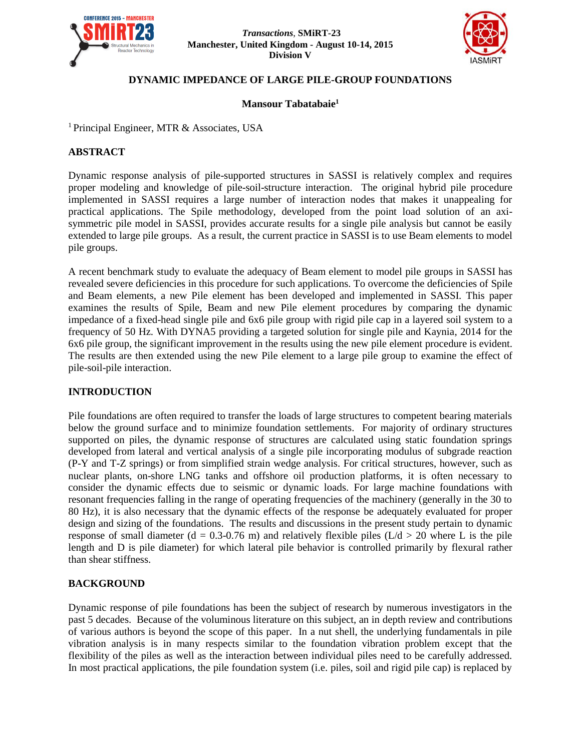



# **DYNAMIC IMPEDANCE OF LARGE PILE-GROUP FOUNDATIONS**

#### **Mansour Tabatabaie<sup>1</sup>**

<sup>1</sup> Principal Engineer, MTR & Associates, USA

## **ABSTRACT**

Dynamic response analysis of pile-supported structures in SASSI is relatively complex and requires proper modeling and knowledge of pile-soil-structure interaction. The original hybrid pile procedure implemented in SASSI requires a large number of interaction nodes that makes it unappealing for practical applications. The Spile methodology, developed from the point load solution of an axisymmetric pile model in SASSI, provides accurate results for a single pile analysis but cannot be easily extended to large pile groups. As a result, the current practice in SASSI is to use Beam elements to model pile groups.

A recent benchmark study to evaluate the adequacy of Beam element to model pile groups in SASSI has revealed severe deficiencies in this procedure for such applications. To overcome the deficiencies of Spile and Beam elements, a new Pile element has been developed and implemented in SASSI. This paper examines the results of Spile, Beam and new Pile element procedures by comparing the dynamic impedance of a fixed-head single pile and 6x6 pile group with rigid pile cap in a layered soil system to a frequency of 50 Hz. With DYNA5 providing a targeted solution for single pile and Kaynia, 2014 for the 6x6 pile group, the significant improvement in the results using the new pile element procedure is evident. The results are then extended using the new Pile element to a large pile group to examine the effect of pile-soil-pile interaction.

#### **INTRODUCTION**

Pile foundations are often required to transfer the loads of large structures to competent bearing materials below the ground surface and to minimize foundation settlements. For majority of ordinary structures supported on piles, the dynamic response of structures are calculated using static foundation springs developed from lateral and vertical analysis of a single pile incorporating modulus of subgrade reaction (P-Y and T-Z springs) or from simplified strain wedge analysis. For critical structures, however, such as nuclear plants, on-shore LNG tanks and offshore oil production platforms, it is often necessary to consider the dynamic effects due to seismic or dynamic loads. For large machine foundations with resonant frequencies falling in the range of operating frequencies of the machinery (generally in the 30 to 80 Hz), it is also necessary that the dynamic effects of the response be adequately evaluated for proper design and sizing of the foundations. The results and discussions in the present study pertain to dynamic response of small diameter (d = 0.3-0.76 m) and relatively flexible piles ( $L/d > 20$  where L is the pile length and D is pile diameter) for which lateral pile behavior is controlled primarily by flexural rather than shear stiffness.

# **BACKGROUND**

Dynamic response of pile foundations has been the subject of research by numerous investigators in the past 5 decades. Because of the voluminous literature on this subject, an in depth review and contributions of various authors is beyond the scope of this paper. In a nut shell, the underlying fundamentals in pile vibration analysis is in many respects similar to the foundation vibration problem except that the flexibility of the piles as well as the interaction between individual piles need to be carefully addressed. In most practical applications, the pile foundation system (i.e. piles, soil and rigid pile cap) is replaced by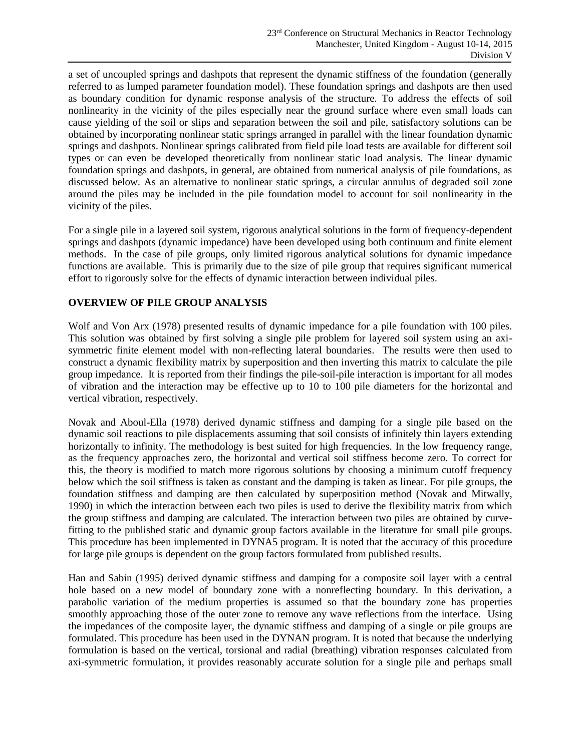a set of uncoupled springs and dashpots that represent the dynamic stiffness of the foundation (generally referred to as lumped parameter foundation model). These foundation springs and dashpots are then used as boundary condition for dynamic response analysis of the structure. To address the effects of soil nonlinearity in the vicinity of the piles especially near the ground surface where even small loads can cause yielding of the soil or slips and separation between the soil and pile, satisfactory solutions can be obtained by incorporating nonlinear static springs arranged in parallel with the linear foundation dynamic springs and dashpots. Nonlinear springs calibrated from field pile load tests are available for different soil types or can even be developed theoretically from nonlinear static load analysis. The linear dynamic foundation springs and dashpots, in general, are obtained from numerical analysis of pile foundations, as discussed below. As an alternative to nonlinear static springs, a circular annulus of degraded soil zone around the piles may be included in the pile foundation model to account for soil nonlinearity in the vicinity of the piles.

For a single pile in a layered soil system, rigorous analytical solutions in the form of frequency-dependent springs and dashpots (dynamic impedance) have been developed using both continuum and finite element methods. In the case of pile groups, only limited rigorous analytical solutions for dynamic impedance functions are available. This is primarily due to the size of pile group that requires significant numerical effort to rigorously solve for the effects of dynamic interaction between individual piles.

## **OVERVIEW OF PILE GROUP ANALYSIS**

Wolf and Von Arx (1978) presented results of dynamic impedance for a pile foundation with 100 piles. This solution was obtained by first solving a single pile problem for layered soil system using an axisymmetric finite element model with non-reflecting lateral boundaries. The results were then used to construct a dynamic flexibility matrix by superposition and then inverting this matrix to calculate the pile group impedance. It is reported from their findings the pile-soil-pile interaction is important for all modes of vibration and the interaction may be effective up to 10 to 100 pile diameters for the horizontal and vertical vibration, respectively.

Novak and Aboul-Ella (1978) derived dynamic stiffness and damping for a single pile based on the dynamic soil reactions to pile displacements assuming that soil consists of infinitely thin layers extending horizontally to infinity. The methodology is best suited for high frequencies. In the low frequency range, as the frequency approaches zero, the horizontal and vertical soil stiffness become zero. To correct for this, the theory is modified to match more rigorous solutions by choosing a minimum cutoff frequency below which the soil stiffness is taken as constant and the damping is taken as linear. For pile groups, the foundation stiffness and damping are then calculated by superposition method (Novak and Mitwally, 1990) in which the interaction between each two piles is used to derive the flexibility matrix from which the group stiffness and damping are calculated. The interaction between two piles are obtained by curvefitting to the published static and dynamic group factors available in the literature for small pile groups. This procedure has been implemented in DYNA5 program. It is noted that the accuracy of this procedure for large pile groups is dependent on the group factors formulated from published results.

Han and Sabin (1995) derived dynamic stiffness and damping for a composite soil layer with a central hole based on a new model of boundary zone with a nonreflecting boundary. In this derivation, a parabolic variation of the medium properties is assumed so that the boundary zone has properties smoothly approaching those of the outer zone to remove any wave reflections from the interface. Using the impedances of the composite layer, the dynamic stiffness and damping of a single or pile groups are formulated. This procedure has been used in the DYNAN program. It is noted that because the underlying formulation is based on the vertical, torsional and radial (breathing) vibration responses calculated from axi-symmetric formulation, it provides reasonably accurate solution for a single pile and perhaps small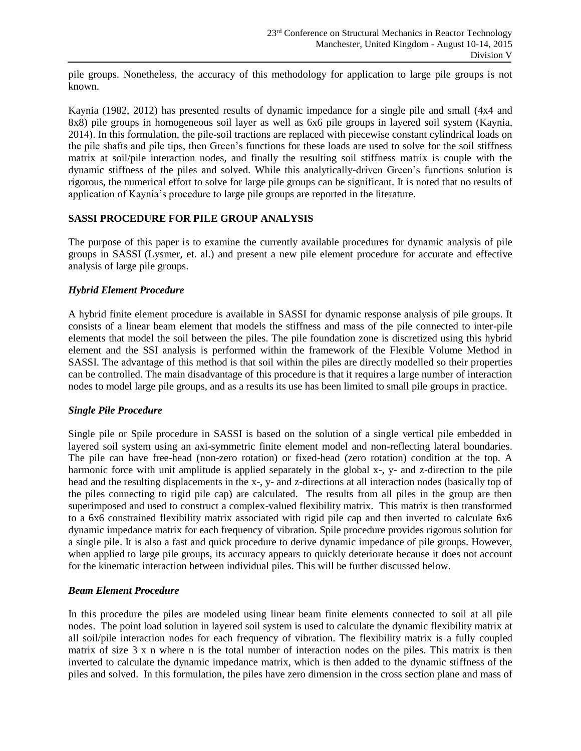pile groups. Nonetheless, the accuracy of this methodology for application to large pile groups is not known.

Kaynia (1982, 2012) has presented results of dynamic impedance for a single pile and small (4x4 and 8x8) pile groups in homogeneous soil layer as well as 6x6 pile groups in layered soil system (Kaynia, 2014). In this formulation, the pile-soil tractions are replaced with piecewise constant cylindrical loads on the pile shafts and pile tips, then Green's functions for these loads are used to solve for the soil stiffness matrix at soil/pile interaction nodes, and finally the resulting soil stiffness matrix is couple with the dynamic stiffness of the piles and solved. While this analytically-driven Green's functions solution is rigorous, the numerical effort to solve for large pile groups can be significant. It is noted that no results of application of Kaynia's procedure to large pile groups are reported in the literature.

#### **SASSI PROCEDURE FOR PILE GROUP ANALYSIS**

The purpose of this paper is to examine the currently available procedures for dynamic analysis of pile groups in SASSI (Lysmer, et. al.) and present a new pile element procedure for accurate and effective analysis of large pile groups.

## *Hybrid Element Procedure*

A hybrid finite element procedure is available in SASSI for dynamic response analysis of pile groups. It consists of a linear beam element that models the stiffness and mass of the pile connected to inter-pile elements that model the soil between the piles. The pile foundation zone is discretized using this hybrid element and the SSI analysis is performed within the framework of the Flexible Volume Method in SASSI. The advantage of this method is that soil within the piles are directly modelled so their properties can be controlled. The main disadvantage of this procedure is that it requires a large number of interaction nodes to model large pile groups, and as a results its use has been limited to small pile groups in practice.

#### *Single Pile Procedure*

Single pile or Spile procedure in SASSI is based on the solution of a single vertical pile embedded in layered soil system using an axi-symmetric finite element model and non-reflecting lateral boundaries. The pile can have free-head (non-zero rotation) or fixed-head (zero rotation) condition at the top. A harmonic force with unit amplitude is applied separately in the global x-, y- and z-direction to the pile head and the resulting displacements in the x-, y- and z-directions at all interaction nodes (basically top of the piles connecting to rigid pile cap) are calculated. The results from all piles in the group are then superimposed and used to construct a complex-valued flexibility matrix. This matrix is then transformed to a 6x6 constrained flexibility matrix associated with rigid pile cap and then inverted to calculate 6x6 dynamic impedance matrix for each frequency of vibration. Spile procedure provides rigorous solution for a single pile. It is also a fast and quick procedure to derive dynamic impedance of pile groups. However, when applied to large pile groups, its accuracy appears to quickly deteriorate because it does not account for the kinematic interaction between individual piles. This will be further discussed below.

#### *Beam Element Procedure*

In this procedure the piles are modeled using linear beam finite elements connected to soil at all pile nodes. The point load solution in layered soil system is used to calculate the dynamic flexibility matrix at all soil/pile interaction nodes for each frequency of vibration. The flexibility matrix is a fully coupled matrix of size 3 x n where n is the total number of interaction nodes on the piles. This matrix is then inverted to calculate the dynamic impedance matrix, which is then added to the dynamic stiffness of the piles and solved. In this formulation, the piles have zero dimension in the cross section plane and mass of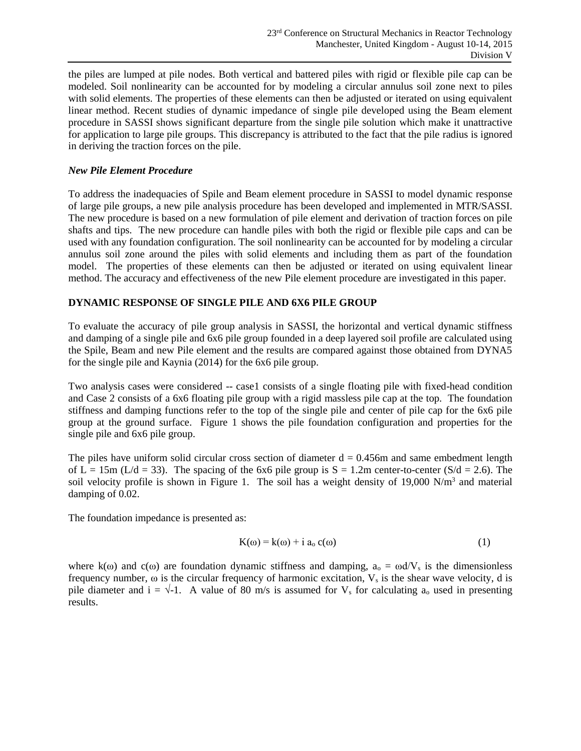the piles are lumped at pile nodes. Both vertical and battered piles with rigid or flexible pile cap can be modeled. Soil nonlinearity can be accounted for by modeling a circular annulus soil zone next to piles with solid elements. The properties of these elements can then be adjusted or iterated on using equivalent linear method. Recent studies of dynamic impedance of single pile developed using the Beam element procedure in SASSI shows significant departure from the single pile solution which make it unattractive for application to large pile groups. This discrepancy is attributed to the fact that the pile radius is ignored in deriving the traction forces on the pile.

#### *New Pile Element Procedure*

To address the inadequacies of Spile and Beam element procedure in SASSI to model dynamic response of large pile groups, a new pile analysis procedure has been developed and implemented in MTR/SASSI. The new procedure is based on a new formulation of pile element and derivation of traction forces on pile shafts and tips. The new procedure can handle piles with both the rigid or flexible pile caps and can be used with any foundation configuration. The soil nonlinearity can be accounted for by modeling a circular annulus soil zone around the piles with solid elements and including them as part of the foundation model. The properties of these elements can then be adjusted or iterated on using equivalent linear method. The accuracy and effectiveness of the new Pile element procedure are investigated in this paper.

# **DYNAMIC RESPONSE OF SINGLE PILE AND 6X6 PILE GROUP**

To evaluate the accuracy of pile group analysis in SASSI, the horizontal and vertical dynamic stiffness and damping of a single pile and 6x6 pile group founded in a deep layered soil profile are calculated using the Spile, Beam and new Pile element and the results are compared against those obtained from DYNA5 for the single pile and Kaynia (2014) for the 6x6 pile group.

Two analysis cases were considered -- case1 consists of a single floating pile with fixed-head condition and Case 2 consists of a 6x6 floating pile group with a rigid massless pile cap at the top. The foundation stiffness and damping functions refer to the top of the single pile and center of pile cap for the 6x6 pile group at the ground surface. Figure 1 shows the pile foundation configuration and properties for the single pile and 6x6 pile group.

The piles have uniform solid circular cross section of diameter  $d = 0.456$ m and same embedment length of L = 15m (L/d = 33). The spacing of the 6x6 pile group is  $S = 1.2$ m center-to-center (S/d = 2.6). The soil velocity profile is shown in Figure 1. The soil has a weight density of  $19,000$  N/m<sup>3</sup> and material damping of 0.02.

The foundation impedance is presented as:

$$
K(\omega) = k(\omega) + i a_0 c(\omega)
$$
 (1)

where k( $\omega$ ) and c( $\omega$ ) are foundation dynamic stiffness and damping,  $a_0 = \omega d/V_s$  is the dimensionless frequency number,  $\omega$  is the circular frequency of harmonic excitation,  $V_s$  is the shear wave velocity, d is pile diameter and  $i = \sqrt{-1}$ . A value of 80 m/s is assumed for  $V_s$  for calculating  $a_0$  used in presenting results.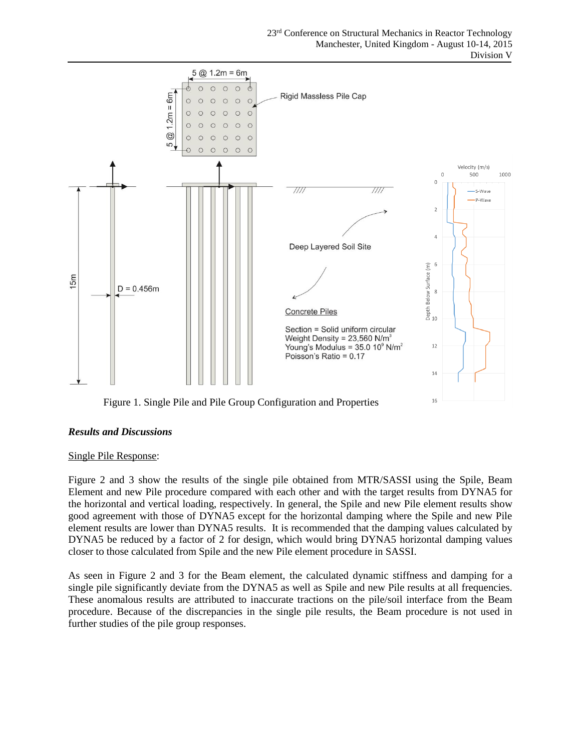

Figure 1. Single Pile and Pile Group Configuration and Properties

#### *Results and Discussions*

#### Single Pile Response:

Figure 2 and 3 show the results of the single pile obtained from MTR/SASSI using the Spile, Beam Element and new Pile procedure compared with each other and with the target results from DYNA5 for the horizontal and vertical loading, respectively. In general, the Spile and new Pile element results show good agreement with those of DYNA5 except for the horizontal damping where the Spile and new Pile element results are lower than DYNA5 results. It is recommended that the damping values calculated by DYNA5 be reduced by a factor of 2 for design, which would bring DYNA5 horizontal damping values closer to those calculated from Spile and the new Pile element procedure in SASSI.

As seen in Figure 2 and 3 for the Beam element, the calculated dynamic stiffness and damping for a single pile significantly deviate from the DYNA5 as well as Spile and new Pile results at all frequencies. These anomalous results are attributed to inaccurate tractions on the pile/soil interface from the Beam procedure. Because of the discrepancies in the single pile results, the Beam procedure is not used in further studies of the pile group responses.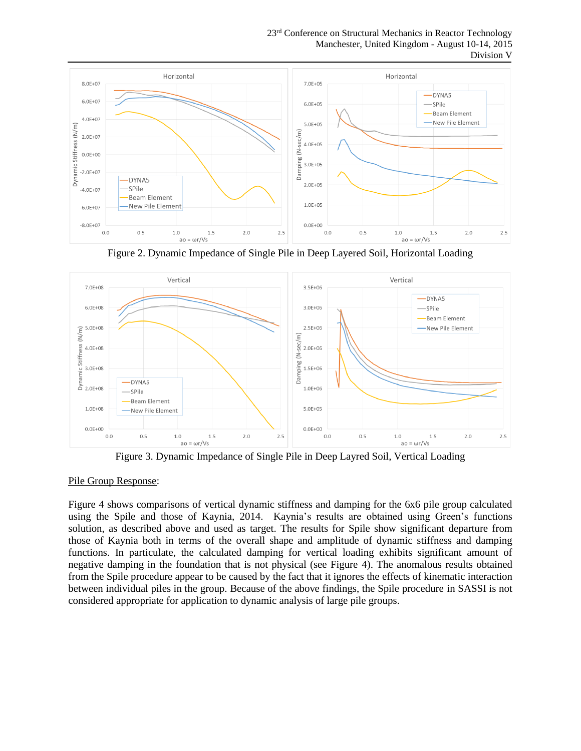23<sup>rd</sup> Conference on Structural Mechanics in Reactor Technology Manchester, United Kingdom - August 10-14, 2015 Division V



Figure 2. Dynamic Impedance of Single Pile in Deep Layered Soil, Horizontal Loading



Figure 3. Dynamic Impedance of Single Pile in Deep Layred Soil, Vertical Loading

#### Pile Group Response:

Figure 4 shows comparisons of vertical dynamic stiffness and damping for the 6x6 pile group calculated using the Spile and those of Kaynia, 2014. Kaynia's results are obtained using Green's functions solution, as described above and used as target. The results for Spile show significant departure from those of Kaynia both in terms of the overall shape and amplitude of dynamic stiffness and damping functions. In particulate, the calculated damping for vertical loading exhibits significant amount of negative damping in the foundation that is not physical (see Figure 4). The anomalous results obtained from the Spile procedure appear to be caused by the fact that it ignores the effects of kinematic interaction between individual piles in the group. Because of the above findings, the Spile procedure in SASSI is not considered appropriate for application to dynamic analysis of large pile groups.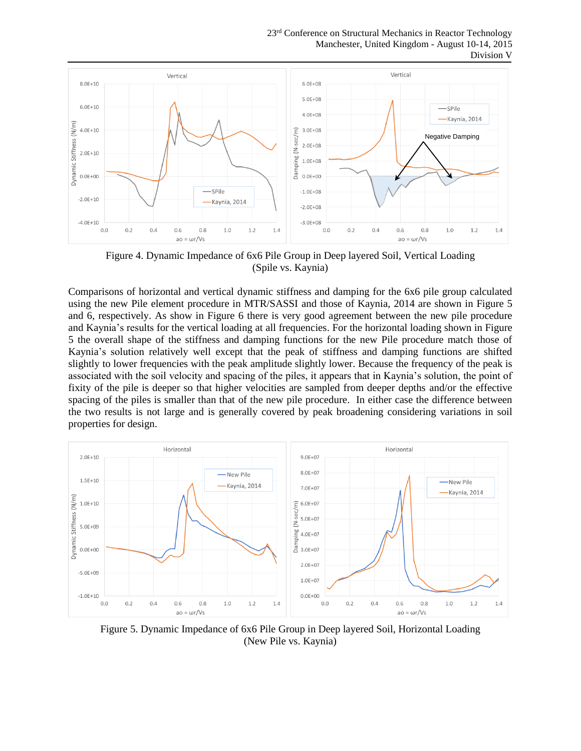23<sup>rd</sup> Conference on Structural Mechanics in Reactor Technology Manchester, United Kingdom - August 10-14, 2015 Division V



Figure 4. Dynamic Impedance of 6x6 Pile Group in Deep layered Soil, Vertical Loading (Spile vs. Kaynia)

Comparisons of horizontal and vertical dynamic stiffness and damping for the 6x6 pile group calculated using the new Pile element procedure in MTR/SASSI and those of Kaynia, 2014 are shown in Figure 5 and 6, respectively. As show in Figure 6 there is very good agreement between the new pile procedure and Kaynia's results for the vertical loading at all frequencies. For the horizontal loading shown in Figure 5 the overall shape of the stiffness and damping functions for the new Pile procedure match those of Kaynia's solution relatively well except that the peak of stiffness and damping functions are shifted slightly to lower frequencies with the peak amplitude slightly lower. Because the frequency of the peak is associated with the soil velocity and spacing of the piles, it appears that in Kaynia's solution, the point of fixity of the pile is deeper so that higher velocities are sampled from deeper depths and/or the effective spacing of the piles is smaller than that of the new pile procedure. In either case the difference between the two results is not large and is generally covered by peak broadening considering variations in soil properties for design.



Figure 5. Dynamic Impedance of 6x6 Pile Group in Deep layered Soil, Horizontal Loading (New Pile vs. Kaynia)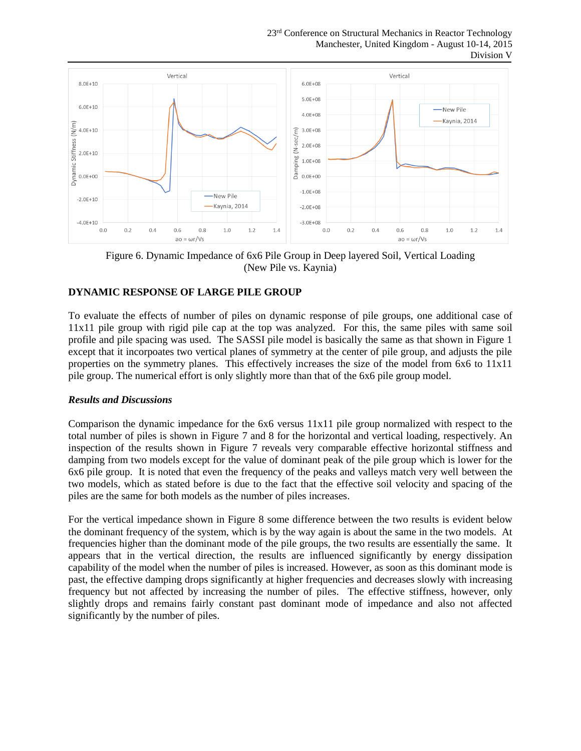23<sup>rd</sup> Conference on Structural Mechanics in Reactor Technology Manchester, United Kingdom - August 10-14, 2015 Division V



Figure 6. Dynamic Impedance of 6x6 Pile Group in Deep layered Soil, Vertical Loading (New Pile vs. Kaynia)

## **DYNAMIC RESPONSE OF LARGE PILE GROUP**

To evaluate the effects of number of piles on dynamic response of pile groups, one additional case of 11x11 pile group with rigid pile cap at the top was analyzed. For this, the same piles with same soil profile and pile spacing was used. The SASSI pile model is basically the same as that shown in Figure 1 except that it incorpoates two vertical planes of symmetry at the center of pile group, and adjusts the pile properties on the symmetry planes. This effectively increases the size of the model from 6x6 to 11x11 pile group. The numerical effort is only slightly more than that of the 6x6 pile group model.

#### *Results and Discussions*

Comparison the dynamic impedance for the 6x6 versus 11x11 pile group normalized with respect to the total number of piles is shown in Figure 7 and 8 for the horizontal and vertical loading, respectively. An inspection of the results shown in Figure 7 reveals very comparable effective horizontal stiffness and damping from two models except for the value of dominant peak of the pile group which is lower for the 6x6 pile group. It is noted that even the frequency of the peaks and valleys match very well between the two models, which as stated before is due to the fact that the effective soil velocity and spacing of the piles are the same for both models as the number of piles increases.

For the vertical impedance shown in Figure 8 some difference between the two results is evident below the dominant frequency of the system, which is by the way again is about the same in the two models. At frequencies higher than the dominant mode of the pile groups, the two results are essentially the same. It appears that in the vertical direction, the results are influenced significantly by energy dissipation capability of the model when the number of piles is increased. However, as soon as this dominant mode is past, the effective damping drops significantly at higher frequencies and decreases slowly with increasing frequency but not affected by increasing the number of piles. The effective stiffness, however, only slightly drops and remains fairly constant past dominant mode of impedance and also not affected significantly by the number of piles.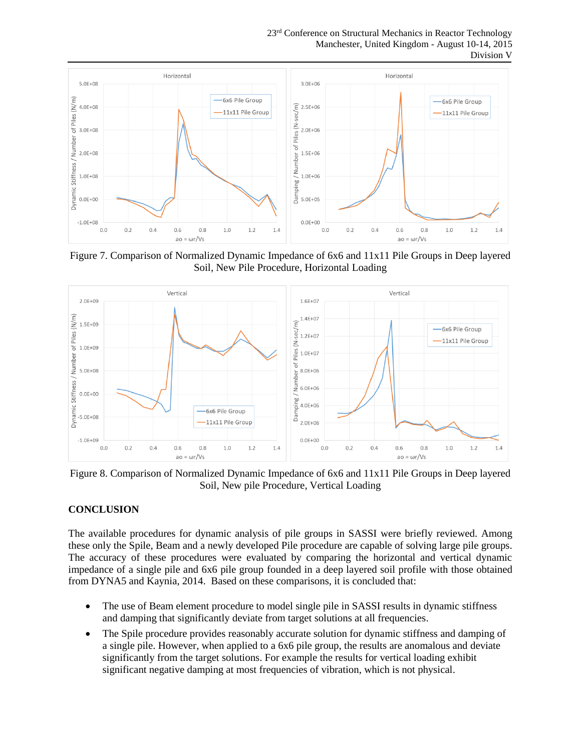23<sup>rd</sup> Conference on Structural Mechanics in Reactor Technology Manchester, United Kingdom - August 10-14, 2015 Division V



Figure 7. Comparison of Normalized Dynamic Impedance of 6x6 and 11x11 Pile Groups in Deep layered Soil, New Pile Procedure, Horizontal Loading



Figure 8. Comparison of Normalized Dynamic Impedance of 6x6 and 11x11 Pile Groups in Deep layered Soil, New pile Procedure, Vertical Loading

#### **CONCLUSION**

The available procedures for dynamic analysis of pile groups in SASSI were briefly reviewed. Among these only the Spile, Beam and a newly developed Pile procedure are capable of solving large pile groups. The accuracy of these procedures were evaluated by comparing the horizontal and vertical dynamic impedance of a single pile and 6x6 pile group founded in a deep layered soil profile with those obtained from DYNA5 and Kaynia, 2014. Based on these comparisons, it is concluded that:

- The use of Beam element procedure to model single pile in SASSI results in dynamic stiffness and damping that significantly deviate from target solutions at all frequencies.
- The Spile procedure provides reasonably accurate solution for dynamic stiffness and damping of a single pile. However, when applied to a 6x6 pile group, the results are anomalous and deviate significantly from the target solutions. For example the results for vertical loading exhibit significant negative damping at most frequencies of vibration, which is not physical.